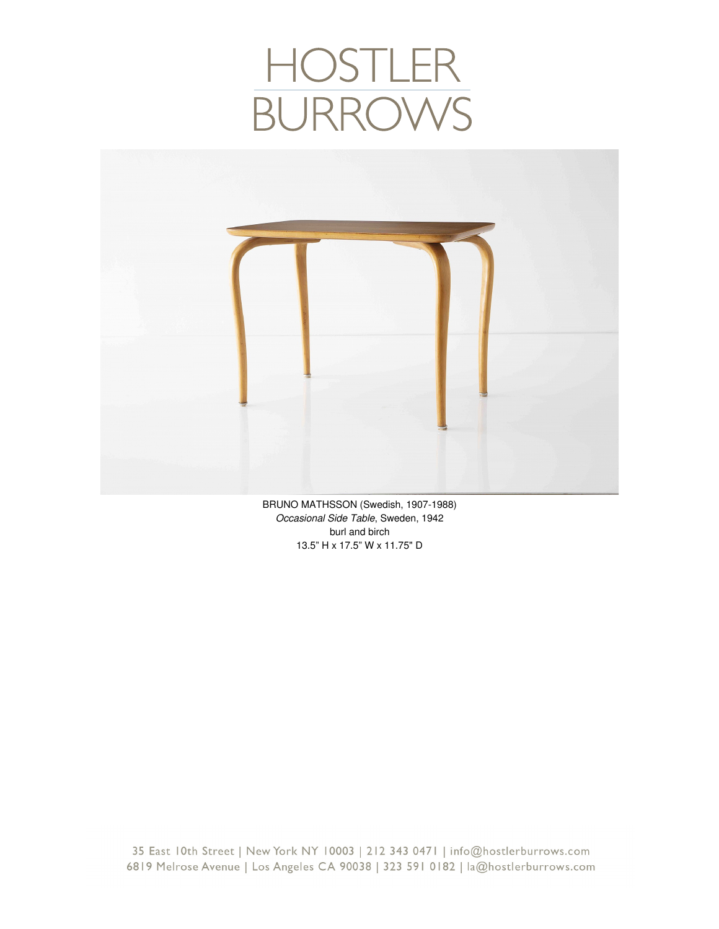## HOSTLER<br>BURROWS



BRUNO MATHSSON (Swedish, 1907-1988) *Occasional Side Table*, Sweden, 1942 burl and birch 13.5" H x 17.5" W x 11.75" D

35 East 10th Street | New York NY 10003 | 212 343 0471 | info@hostlerburrows.com 6819 Melrose Avenue | Los Angeles CA 90038 | 323 591 0182 | la@hostlerburrows.com